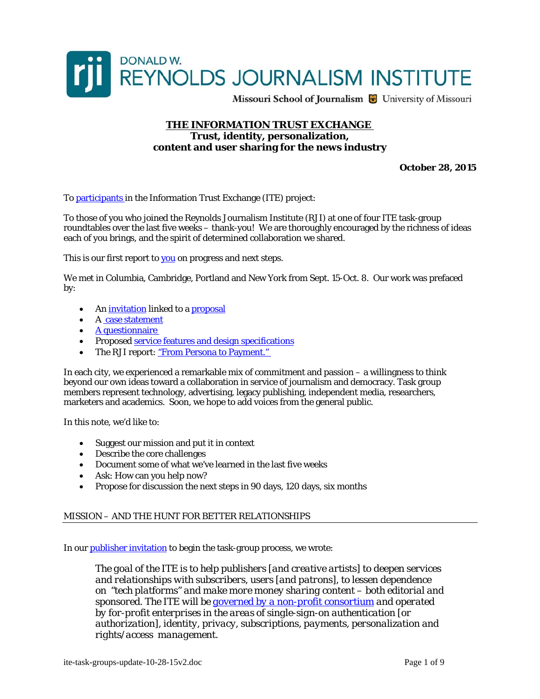

Missouri School of Journalism & University of Missouri

#### **THE INFORMATION TRUST EXCHANGE Trust, identity, personalization, content and user sharing for the news industry**

**October 28, 2015** 

To [participants i](http://newshare.com/ite-next/ite-task-group-MEMBERS-10-05-15.pdf)n the Information Trust Exchange (ITE) project:

To those of you who joined the Reynolds Journalism Institute (RJI) at one of four ITE task-group roundtables over the last five weeks – thank-you! We are thoroughly encouraged by the richness of ideas each of you brings, and the spirit of determined collaboration we shared.

This is our first report to [you](http://newshare.com/ite-next/ite-task-group-MEMBERS-10-05-15.pdf) on progress and next steps.

We met in Columbia, Cambridge, Portland and New York from Sept. 15-Oct. 8. Our work was prefaced by:

- An *invitation* linked to a **proposal**
- A [case statement](http://newshare.com/ohare/publisher-invitation-case-statement.pdf)
- [A questionnaire](http://newshare.com/portland/questionnaire.pdf)
- Proposed [service features and design specifications](http://newshare.com/ite-tech/ite-service-design-specifications-v3-09-11-15.pdf)
- The RJI report: "From Persona to Payment."

In each city, we experienced a remarkable mix of commitment and passion – a willingness to think beyond our own ideas toward a collaboration in service of journalism and democracy. Task group members represent technology, advertising, legacy publishing, independent media, researchers, marketers and academics. Soon, we hope to add voices from the general public.

In this note, we'd like to:

- Suggest our mission and put it in context
- Describe the core challenges
- Document some of what we've learned in the last five weeks
- Ask: How can you help now?
- Propose for discussion the next steps in 90 days, 120 days, six months

#### MISSION – AND THE HUNT FOR BETTER RELATIONSHIPS

In our **[publisher invitation](http://newshare.com/ohare/publisher-invitation-case-statement.pdf)** to begin the task-group process, we wrote:

*The goal of the ITE is to help publishers [and creative artists] to deepen services and relationships with subscribers, users [and patrons], to lessen dependence on "tech platforms" and make more money sharing content – both editorial and sponsored. The ITE will be [governed by a non-profit consortium](http://newshare.com/columbia/ite-summary-description-apr-2015.pdf) and operated by for-profit enterprises in the areas of single-sign-on authentication [or authorization], identity, privacy, subscriptions, payments, personalization and rights/access management.*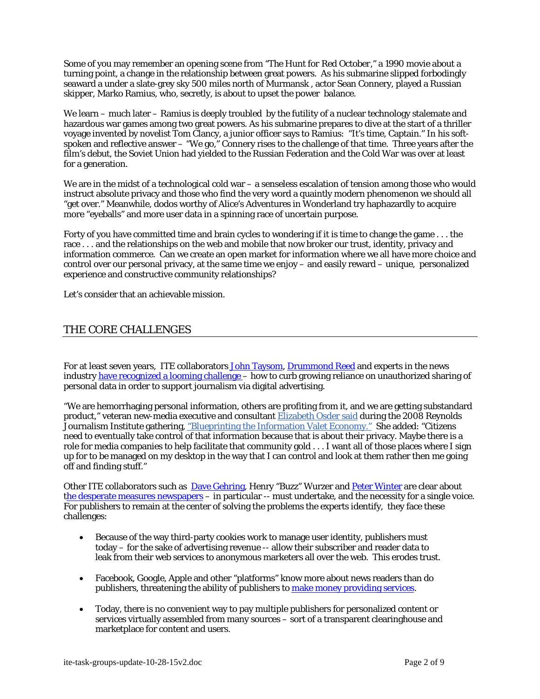Some of you may remember an opening scene from *"The Hunt for Red October,"* a 1990 movie about a turning point, a change in the relationship between great powers. As his submarine slipped forbodingly seaward a under a slate-grey sky 500 miles north of Murmansk , actor Sean Connery, played a Russian skipper, Marko Ramius, who, secretly, is about to upset the power balance.

We learn – much later – Ramius is deeply troubled by the futility of a nuclear technology stalemate and hazardous war games among two great powers. As his submarine prepares to dive at the start of a thriller voyage invented by novelist Tom Clancy, a junior officer says to Ramius: "It's time, Captain." In his softspoken and reflective answer – "We go," Connery rises to the challenge of that time. Three years after the film's debut, the Soviet Union had yielded to the Russian Federation and the Cold War was over at least for a generation.

We are in the midst of a technological cold war – a senseless escalation of tension among those who would instruct absolute privacy and those who find the very word a quaintly modern phenomenon we should all "get over." Meanwhile, dodos worthy of Alice's Adventures in Wonderland try haphazardly to acquire more "eyeballs" and more user data in a spinning race of uncertain purpose.

Forty of you have committed time and brain cycles to wondering if it is time to change the game . . . the race . . . and the relationships on the web and mobile that now broker our trust, identity, privacy and information commerce. Can we create an open market for information where we all have more choice and control over our personal privacy, at the same time we enjoy – and easily reward – unique, personalized experience and constructive community relationships?

Let's consider that an achievable mission.

## THE CORE CHALLENGES

For at least seven years, ITE collaborators [John Taysom,](http://newshare.com/wiki/index.php/Ite-news-role) [Drummond Reed](http://newshare.com/cambridge/A-drummond-reed-SSS.pdf) and experts in the news industry [have recognized a looming challenge](http://newshare.com/wiki/index.php/Ite-news-role) – how to curb growing reliance on unauthorized sharing of personal data in order to support journalism via digital advertising.

"We are hemorrhaging personal information, others are profiting from it, and we are getting substandard product," veteran new-media executive and consultant [Elizabeth Osder said](http://www.osdergroup.com/leadership/4/elizabeth-osder) during the 2008 Reynolds Journalism Institute gathering, ["Blueprinting the Information Valet Economy."](http://newshare.com/wiki/index.php/Blueprint) She added: "Citizens need to eventually take control of that information because that is about their privacy. Maybe there is a role for media companies to help facilitate that community gold . . . I want all of those places where I sign up for to be managed on my desktop in the way that I can control and look at them rather then me going off and finding stuff."

Other ITE collaborators such as [Dave Gehring](http://newshare.com/columbia/READING-gehring-voices-alignment.pdf), Henry "Buzz" Wurzer and [Peter Winter](http://www.newshare.com/newyork/winter-death-of-newspapers.pdf) are clear about [the desperate measures newspapers](http://newshare.com/cambridge/READING-dire-straits-winter-wurzer.pdf) – in particular -- must undertake, and the necessity for a single voice. For publishers to remain at the center of solving the problems the experts identify, they face these challenges:

- Because of the way third-party cookies work to manage user identity, publishers must today – for the sake of advertising revenue -- allow their subscriber and reader data to leak from their web services to anonymous marketers all over the web. This erodes trust.
- Facebook, Google, Apple and other "platforms" know more about news readers than do publishers, threatening the ability of publishers to [make money providing services.](http://newshare.com/columbia/READING-gehring-voices-alignment.pdf)
- Today, there is no convenient way to pay multiple publishers for personalized content or services virtually assembled from many sources – sort of a transparent clearinghouse and marketplace for content and users.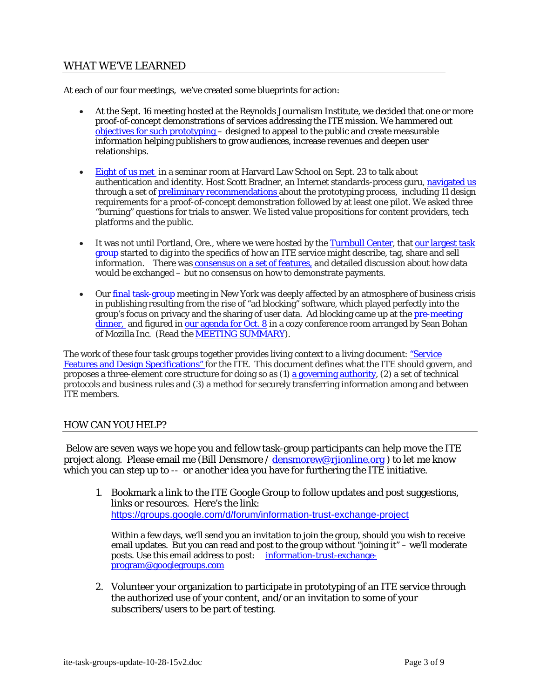# WHAT WE'VE LEARNED

At each of our four meetings, we've created some blueprints for action:

- At the Sept. 16 meeting hosted at the Reynolds Journalism Institute, we decided that one or more proof-of-concept demonstrations of services addressing the ITE mission. We hammered out [objectives for such prototyping –](http://newshare.com/columbia/ite-prototype-mission-objectives.pdf) designed to appeal to the public and create measurable information helping publishers to grow audiences, increase revenues and deepen user relationships.
- [Eight of us met](http://www.newshare.com/newyork/bios-cambridge.pdf) in a seminar room at Harvard Law School on Sept. 23 to talk about authentication and identity. Host Scott Bradner, an Internet standards-process guru, [navigated us](http://newshare.com/cambridge/bios-cambridge.pdf) through a set of **preliminary recommendations** about the prototyping process, including 11 design requirements for a proof-of-concept demonstration followed by at least one pilot. We asked three "burning" questions for trials to answer. We listed value propositions for content providers, tech platforms and the public.
- It was not until Portland, Ore., where we were hosted by the [Turnbull Center](http://journalism.uoregon.edu/turnbull/), that our largest task [group](http://www.newshare.com/newyork/bios-portland.pdf) started to dig into the specifics of how an ITE service might describe, tag, share and sell information. There wa[s consensus on a set of features,](http://newshare.com/portland/ite-portland-PROTOTYPE-FEATURES-10-30-15.pdf) and detailed discussion about how data would be exchanged – but no consensus on how to demonstrate payments.
- Our [final task-group](http://www.newshare.com/newyork/BIOS-newyork-user-privacy-task-force.pdf) meeting in New York was deeply affected by an atmosphere of business crisis in publishing resulting from the rise of "ad blocking" software, which played perfectly into the group's focus on privacy and the sharing of user data. Ad blocking came up at the [pre-meeting](http://www.newshare.com/newyork/ite-task-group-user-privacy-PRE-MEETING-NOTES.pdf)  [dinner,](http://www.newshare.com/newyork/ite-task-group-user-privacy-PRE-MEETING-NOTES.pdf) and figured in [our agenda for Oct. 8](http://www.newshare.com/newyork/AGENDA-ite-task-group-user-privacy-newyork.pdf) in a cozy conference room arranged by Sean Bohan of Mozilla Inc. (Read the [MEETING SUMMARY\)](http://www.newshare.com/newyork/ite-task-group-user-privacy-MEETING-SUMMARY.pdf).

The work of these four task groups together provides living context to a living document: "Service" [Features and Design Specifications" f](http://newshare.com/cambridge/ite-service-design-specifications-v3-09-11-15.pdf)or the ITE. This document defines what the ITE should govern, and proposes a three-element core structure for doing so as (1) [a governing authority](http://newshare.com/columbia/ite-governance-structure-09-12-15-BD.pdf), (2) a set of technical protocols and business rules and (3) a method for securely transferring information among and between ITE members.

### HOW CAN YOU HELP?

 Below are seven ways we hope you and fellow task-group participants can help move the ITE project along. Please email me (Bill Densmore / [densmorew@rjionline.org](mailto:densmorew@rjionline.org) ) to let me know which you can step up to -- or another idea you have for furthering the ITE initiative.

1. Bookmark a link to the ITE Google Group to follow updates and post suggestions, links or resources. Here's the link: <https://groups.google.com/d/forum/information-trust-exchange-project>

Within a few days, we'll send you an invitation to join the group, should you wish to receive email updates. But you can read and post to the group without "joining it" – we'll moderate posts. Use this email address to post: [information-trust-exchange](mailto:information-trust-exchange-program@googlegroups.com)[program@googlegroups.com](mailto:information-trust-exchange-program@googlegroups.com) 

2. Volunteer your organization to participate in prototyping of an ITE service through the authorized use of your content, and/or an invitation to some of your subscribers/users to be part of testing.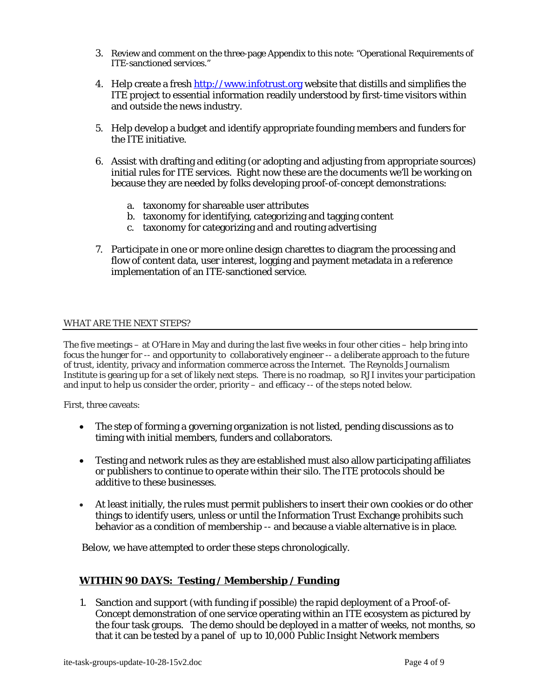- 3. Review and comment on the three-page Appendix to this note: "Operational Requirements of ITE-sanctioned services."
- 4. Help create a fresh [http://www.infotrust.org](http://www.infotrust.org/) website that distills and simplifies the ITE project to essential information readily understood by first-time visitors within and outside the news industry.
- 5. Help develop a budget and identify appropriate founding members and funders for the ITE initiative.
- 6. Assist with drafting and editing (or adopting and adjusting from appropriate sources) initial rules for ITE services. Right now these are the documents we'll be working on because they are needed by folks developing proof-of-concept demonstrations:
	- a. taxonomy for shareable user attributes
	- b. taxonomy for identifying, categorizing and tagging content
	- c. taxonomy for categorizing and and routing advertising
- 7. Participate in one or more online design charettes to diagram the processing and flow of content data, user interest, logging and payment metadata in a reference implementation of an ITE-sanctioned service.

#### WHAT ARE THE NEXT STEPS?

The five meetings – at O'Hare in May and during the last five weeks in four other cities – help bring into focus the hunger for -- and opportunity to collaboratively engineer -- a deliberate approach to the future of trust, identity, privacy and information commerce across the Internet. The Reynolds Journalism Institute is gearing up for a set of likely next steps. There is no roadmap, so RJI invites your participation and input to help us consider the order, priority – and efficacy -- of the steps noted below.

First, three caveats:

- The step of forming a governing organization is not listed, pending discussions as to timing with initial members, funders and collaborators.
- Testing and network rules as they are established must also allow participating affiliates or publishers to continue to operate within their silo. The ITE protocols should be additive to these businesses.
- At least initially, the rules must permit publishers to insert their own cookies or do other things to identify users, unless or until the Information Trust Exchange prohibits such behavior as a condition of membership -- and because a viable alternative is in place.

Below, we have attempted to order these steps chronologically.

### **WITHIN 90 DAYS: Testing / Membership / Funding**

1. Sanction and support (with funding if possible) the rapid deployment of a Proof-of-Concept demonstration of one service operating within an ITE ecosystem as pictured by the four task groups. The demo should be deployed in a matter of weeks, not months, so that it can be tested by a panel of up to 10,000 Public Insight Network members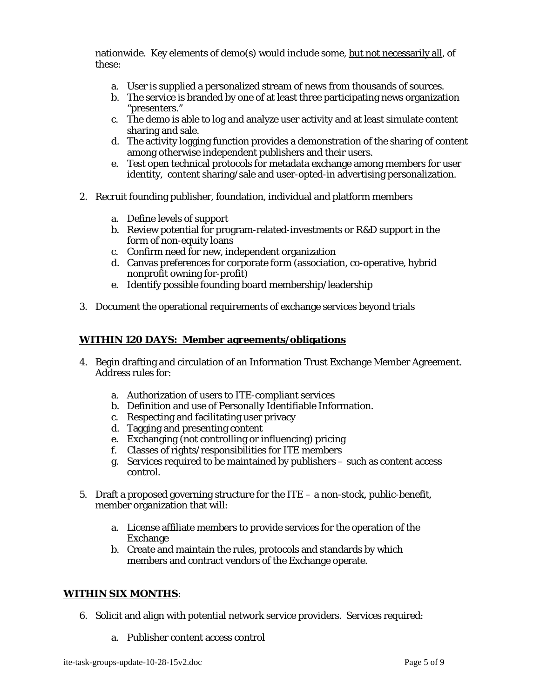nationwide. Key elements of demo(s) would include some, but not necessarily all, of these:

- a. User is supplied a personalized stream of news from thousands of sources.
- b. The service is branded by one of at least three participating news organization "presenters."
- c. The demo is able to log and analyze user activity and at least simulate content sharing and sale.
- d. The activity logging function provides a demonstration of the sharing of content among otherwise independent publishers and their users.
- e. Test open technical protocols for metadata exchange among members for user identity, content sharing/sale and user-opted-in advertising personalization.
- 2. Recruit founding publisher, foundation, individual and platform members
	- a. Define levels of support
	- b. Review potential for program-related-investments or R&D support in the form of non-equity loans
	- c. Confirm need for new, independent organization
	- d. Canvas preferences for corporate form (association, co-operative, hybrid nonprofit owning for-profit)
	- e. Identify possible founding board membership/leadership
- 3. Document the operational requirements of exchange services beyond trials

#### **WITHIN 120 DAYS: Member agreements/obligations**

- 4. Begin drafting and circulation of an Information Trust Exchange Member Agreement. Address rules for:
	- a. Authorization of users to ITE-compliant services
	- b. Definition and use of Personally Identifiable Information.
	- c. Respecting and facilitating user privacy
	- d. Tagging and presenting content
	- e. Exchanging (not controlling or influencing) pricing
	- f. Classes of rights/responsibilities for ITE members
	- g. Services required to be maintained by publishers such as content access control.
- 5. Draft a proposed governing structure for the ITE a non-stock, public-benefit, member organization that will:
	- a. License affiliate members to provide services for the operation of the Exchange
	- b. Create and maintain the rules, protocols and standards by which members and contract vendors of the Exchange operate.

#### **WITHIN SIX MONTHS**:

- 6. Solicit and align with potential network service providers. Services required:
	- a. Publisher content access control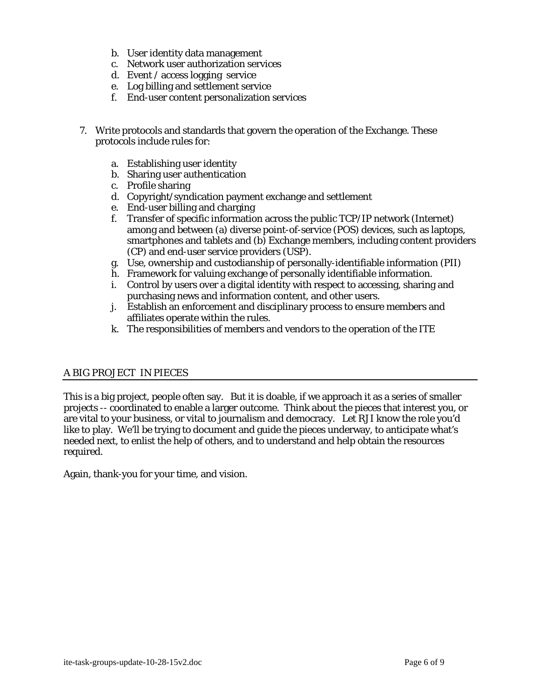- b. User identity data management
- c. Network user authorization services
- d. Event / access logging service
- e. Log billing and settlement service
- f. End-user content personalization services
- 7. Write protocols and standards that govern the operation of the Exchange. These protocols include rules for:
	- a. Establishing user identity
	- b. Sharing user authentication
	- c. Profile sharing
	- d. Copyright/syndication payment exchange and settlement
	- e. End-user billing and charging
	- f. Transfer of specific information across the public TCP/IP network (Internet) among and between (a) diverse point-of-service (POS) devices, such as laptops, smartphones and tablets and (b) Exchange members, including content providers (CP) and end-user service providers (USP).
	- g. Use, ownership and custodianship of personally-identifiable information (PII)
	- h. Framework for valuing exchange of personally identifiable information.
	- i. Control by users over a digital identity with respect to accessing, sharing and purchasing news and information content, and other users.
	- j. Establish an enforcement and disciplinary process to ensure members and affiliates operate within the rules.
	- k. The responsibilities of members and vendors to the operation of the ITE

## A BIG PROJECT IN PIECES

This is a big project, people often say. But it is doable, if we approach it as a series of smaller projects -- coordinated to enable a larger outcome. Think about the pieces that interest you, or are vital to your business, or vital to journalism and democracy. Let RJI know the role you'd like to play. We'll be trying to document and guide the pieces underway, to anticipate what's needed next, to enlist the help of others, and to understand and help obtain the resources required.

Again, thank-you for your time, and vision.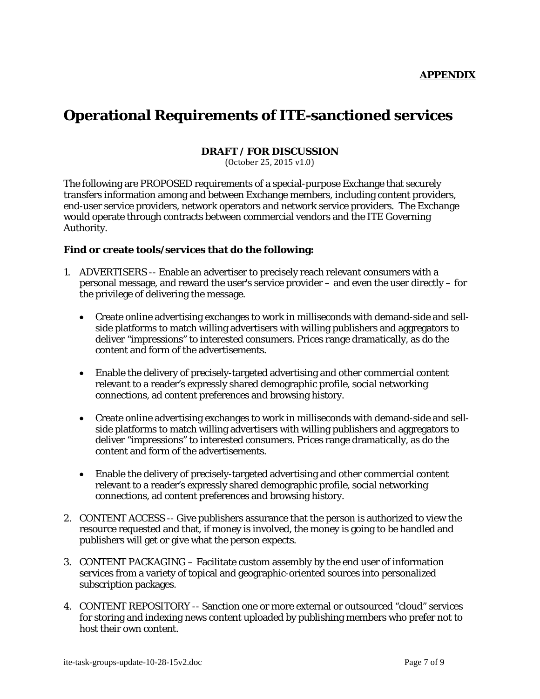# **Operational Requirements of ITE-sanctioned services**

#### **DRAFT / FOR DISCUSSION**

(October 25, 2015 v1.0)

The following are PROPOSED requirements of a special-purpose Exchange that securely transfers information among and between Exchange members, including content providers, end-user service providers, network operators and network service providers. The Exchange would operate through contracts between commercial vendors and the ITE Governing Authority.

#### **Find or create tools/services that do the following:**

- 1. ADVERTISERS -- Enable an advertiser to precisely reach relevant consumers with a personal message, and reward the user's service provider – and even the user directly – for the privilege of delivering the message.
	- Create online advertising exchanges to work in milliseconds with demand-side and sellside platforms to match willing advertisers with willing publishers and aggregators to deliver "impressions" to interested consumers. Prices range dramatically, as do the content and form of the advertisements.
	- Enable the delivery of precisely-targeted advertising and other commercial content relevant to a reader's expressly shared demographic profile, social networking connections, ad content preferences and browsing history.
	- Create online advertising exchanges to work in milliseconds with demand-side and sellside platforms to match willing advertisers with willing publishers and aggregators to deliver "impressions" to interested consumers. Prices range dramatically, as do the content and form of the advertisements.
	- Enable the delivery of precisely-targeted advertising and other commercial content relevant to a reader's expressly shared demographic profile, social networking connections, ad content preferences and browsing history.
- 2. CONTENT ACCESS -- Give publishers assurance that the person is authorized to view the resource requested and that, if money is involved, the money is going to be handled and publishers will get or give what the person expects.
- 3. CONTENT PACKAGING Facilitate custom assembly by the end user of information services from a variety of topical and geographic-oriented sources into personalized subscription packages.
- 4. CONTENT REPOSITORY -- Sanction one or more external or outsourced "cloud" services for storing and indexing news content uploaded by publishing members who prefer not to host their own content.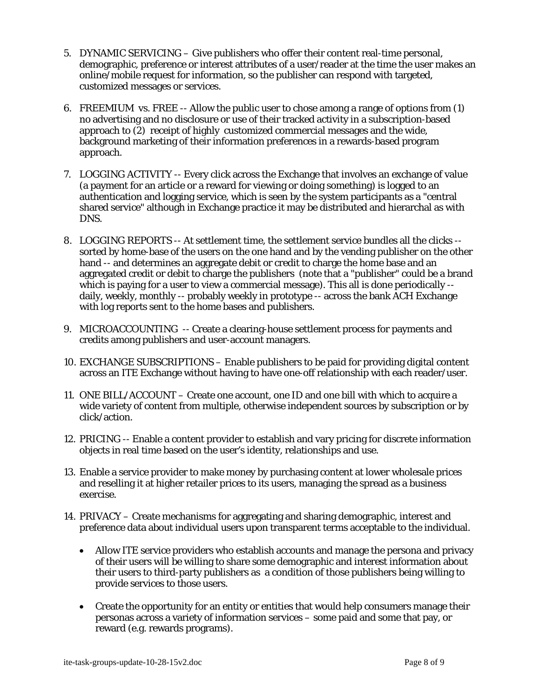- 5. DYNAMIC SERVICING Give publishers who offer their content real-time personal, demographic, preference or interest attributes of a user/reader at the time the user makes an online/mobile request for information, so the publisher can respond with targeted, customized messages or services.
- 6. FREEMIUM vs. FREE -- Allow the public user to chose among a range of options from (1) no advertising and no disclosure or use of their tracked activity in a subscription-based approach to (2) receipt of highly customized commercial messages and the wide, background marketing of their information preferences in a rewards-based program approach.
- 7. LOGGING ACTIVITY -- Every click across the Exchange that involves an exchange of value (a payment for an article or a reward for viewing or doing something) is logged to an authentication and logging service, which is seen by the system participants as a "central shared service" although in Exchange practice it may be distributed and hierarchal as with DNS.
- 8. LOGGING REPORTS -- At settlement time, the settlement service bundles all the clicks sorted by home-base of the users on the one hand and by the vending publisher on the other hand -- and determines an aggregate debit or credit to charge the home base and an aggregated credit or debit to charge the publishers (note that a "publisher" could be a brand which is paying for a user to view a commercial message). This all is done periodically - daily, weekly, monthly -- probably weekly in prototype -- across the bank ACH Exchange with log reports sent to the home bases and publishers.
- 9. MICROACCOUNTING -- Create a clearing-house settlement process for payments and credits among publishers and user-account managers.
- 10. EXCHANGE SUBSCRIPTIONS Enable publishers to be paid for providing digital content across an ITE Exchange without having to have one-off relationship with each reader/user.
- 11. ONE BILL/ACCOUNT Create one account, one ID and one bill with which to acquire a wide variety of content from multiple, otherwise independent sources by subscription or by click/action.
- 12. PRICING -- Enable a content provider to establish and vary pricing for discrete information objects in real time based on the user's identity, relationships and use.
- 13. Enable a service provider to make money by purchasing content at lower wholesale prices and reselling it at higher retailer prices to its users, managing the spread as a business exercise.
- 14. PRIVACY Create mechanisms for aggregating and sharing demographic, interest and preference data about individual users upon transparent terms acceptable to the individual.
	- Allow ITE service providers who establish accounts and manage the persona and privacy of their users will be willing to share some demographic and interest information about their users to third-party publishers as a condition of those publishers being willing to provide services to those users.
	- Create the opportunity for an entity or entities that would help consumers manage their personas across a variety of information services – some paid and some that pay, or reward (e.g. rewards programs).